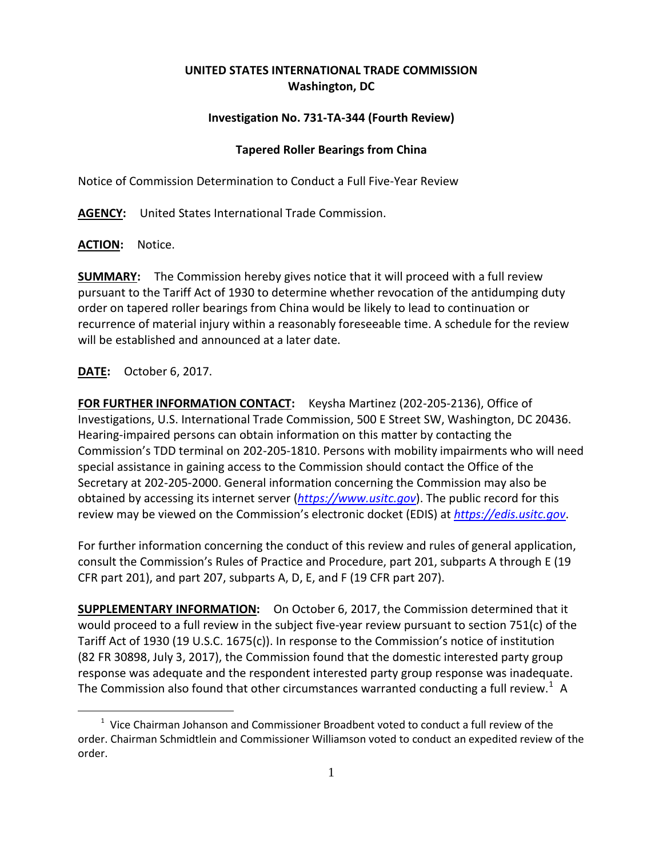## **UNITED STATES INTERNATIONAL TRADE COMMISSION Washington, DC**

## **Investigation No. 731-TA-344 (Fourth Review)**

## **Tapered Roller Bearings from China**

Notice of Commission Determination to Conduct a Full Five-Year Review

**AGENCY:** United States International Trade Commission.

**ACTION:** Notice.

**SUMMARY:** The Commission hereby gives notice that it will proceed with a full review pursuant to the Tariff Act of 1930 to determine whether revocation of the antidumping duty order on tapered roller bearings from China would be likely to lead to continuation or recurrence of material injury within a reasonably foreseeable time. A schedule for the review will be established and announced at a later date.

## **DATE:** October 6, 2017.

 $\overline{a}$ 

**FOR FURTHER INFORMATION CONTACT:** Keysha Martinez (202-205-2136), Office of Investigations, U.S. International Trade Commission, 500 E Street SW, Washington, DC 20436. Hearing-impaired persons can obtain information on this matter by contacting the Commission's TDD terminal on 202-205-1810. Persons with mobility impairments who will need special assistance in gaining access to the Commission should contact the Office of the Secretary at 202-205-2000. General information concerning the Commission may also be obtained by accessing its internet server (*[https://www.usitc.gov](https://www.usitc.gov/)*). The public record for this review may be viewed on the Commission's electronic docket (EDIS) at *[https://edis.usitc.gov](https://edis.usitc.gov/)*.

For further information concerning the conduct of this review and rules of general application, consult the Commission's Rules of Practice and Procedure, part 201, subparts A through E (19 CFR part 201), and part 207, subparts A, D, E, and F (19 CFR part 207).

**SUPPLEMENTARY INFORMATION:** On October 6, 2017, the Commission determined that it would proceed to a full review in the subject five-year review pursuant to section 751(c) of the Tariff Act of 1930 (19 U.S.C. 1675(c)). In response to the Commission's notice of institution (82 FR 30898, July 3, 2017), the Commission found that the domestic interested party group response was adequate and the respondent interested party group response was inadequate. The Commission also found that other circumstances warranted conducting a full review.<sup>[1](#page-0-0)</sup> A

<span id="page-0-0"></span> $1$  Vice Chairman Johanson and Commissioner Broadbent voted to conduct a full review of the order. Chairman Schmidtlein and Commissioner Williamson voted to conduct an expedited review of the order.